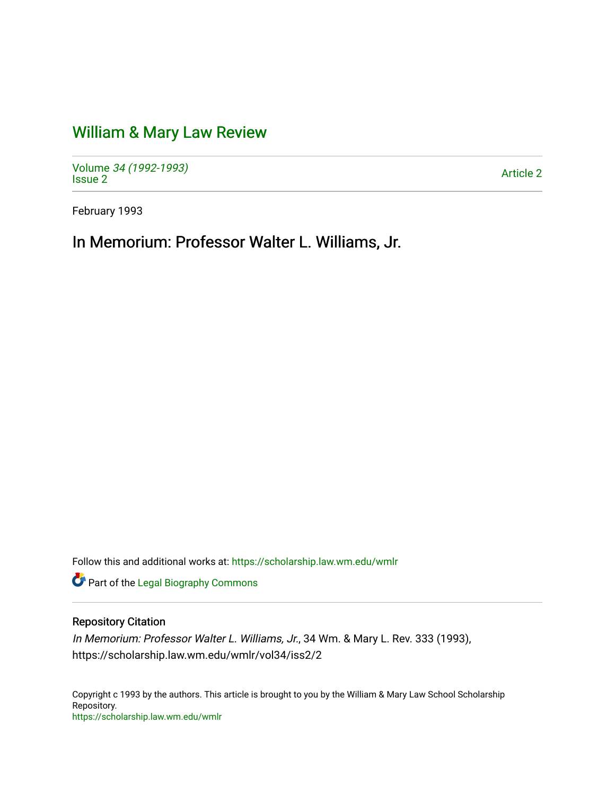# [William & Mary Law Review](https://scholarship.law.wm.edu/wmlr)

Volume [34 \(1992-1993\)](https://scholarship.law.wm.edu/wmlr/vol34)  volume 54 (1992-1995)<br>[Issue 2](https://scholarship.law.wm.edu/wmlr/vol34/iss2) Article 2

February 1993

In Memorium: Professor Walter L. Williams, Jr.

Follow this and additional works at: [https://scholarship.law.wm.edu/wmlr](https://scholarship.law.wm.edu/wmlr?utm_source=scholarship.law.wm.edu%2Fwmlr%2Fvol34%2Fiss2%2F2&utm_medium=PDF&utm_campaign=PDFCoverPages)

Part of the [Legal Biography Commons](http://network.bepress.com/hgg/discipline/834?utm_source=scholarship.law.wm.edu%2Fwmlr%2Fvol34%2Fiss2%2F2&utm_medium=PDF&utm_campaign=PDFCoverPages) 

## Repository Citation

In Memorium: Professor Walter L. Williams, Jr., 34 Wm. & Mary L. Rev. 333 (1993), https://scholarship.law.wm.edu/wmlr/vol34/iss2/2

Copyright c 1993 by the authors. This article is brought to you by the William & Mary Law School Scholarship Repository. <https://scholarship.law.wm.edu/wmlr>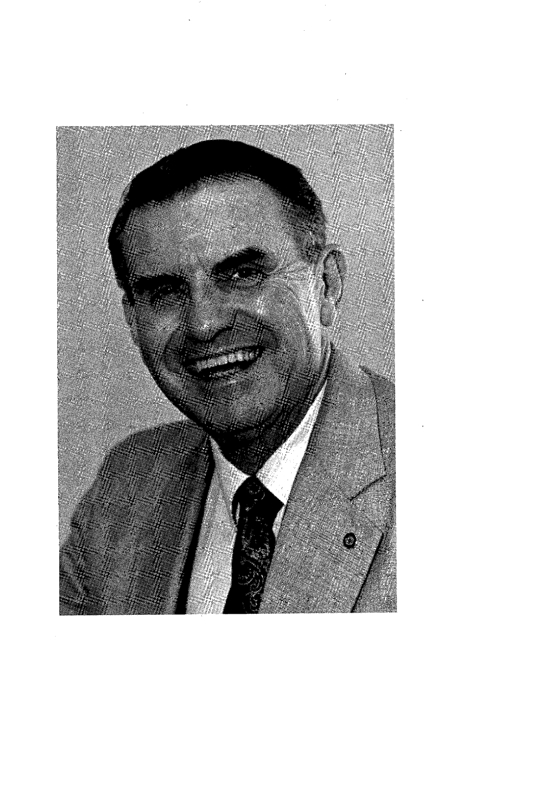